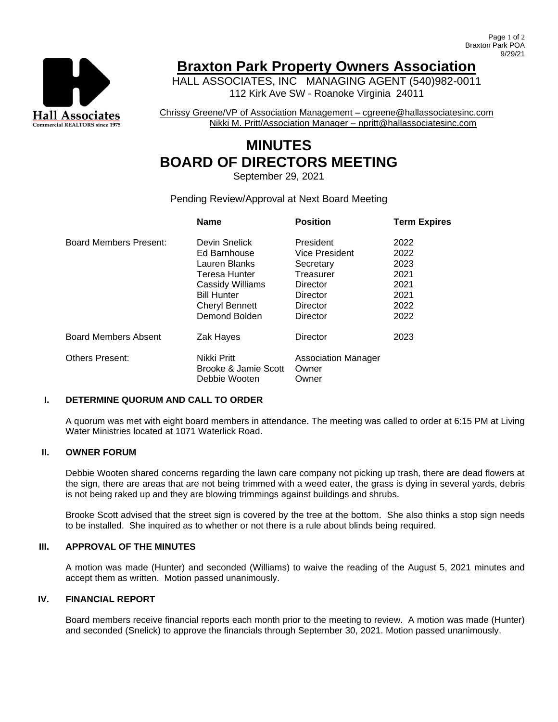

# **Braxton Park Property Owners Association**

HALL ASSOCIATES, INC MANAGING AGENT (540)982-0011 112 Kirk Ave SW - Roanoke Virginia 24011

Chrissy Greene/VP of Association Management – cgreene@hallassociatesinc.com Nikki M. Pritt/Association Manager – npritt@hallassociatesinc.com

# **MINUTES BOARD OF DIRECTORS MEETING**

September 29, 2021

# Pending Review/Approval at Next Board Meeting

|                             | <b>Name</b>           | <b>Position</b>            | <b>Term Expires</b> |
|-----------------------------|-----------------------|----------------------------|---------------------|
| Board Members Present:      | Devin Snelick         | President                  | 2022                |
|                             | Ed Barnhouse          | Vice President             | 2022                |
|                             | Lauren Blanks         | Secretary                  | 2023                |
|                             | Teresa Hunter         | Treasurer                  | 2021                |
|                             | Cassidy Williams      | Director                   | 2021                |
|                             | <b>Bill Hunter</b>    | Director                   | 2021                |
|                             | <b>Cheryl Bennett</b> | Director                   | 2022                |
|                             | Demond Bolden         | Director                   | 2022                |
| <b>Board Members Absent</b> | Zak Hayes             | Director                   | 2023                |
| <b>Others Present:</b>      | Nikki Pritt           | <b>Association Manager</b> |                     |
|                             | Brooke & Jamie Scott  | Owner                      |                     |
|                             | Debbie Wooten         | Owner                      |                     |

#### **I. DETERMINE QUORUM AND CALL TO ORDER**

A quorum was met with eight board members in attendance. The meeting was called to order at 6:15 PM at Living Water Ministries located at 1071 Waterlick Road.

# **II. OWNER FORUM**

Debbie Wooten shared concerns regarding the lawn care company not picking up trash, there are dead flowers at the sign, there are areas that are not being trimmed with a weed eater, the grass is dying in several yards, debris is not being raked up and they are blowing trimmings against buildings and shrubs.

Brooke Scott advised that the street sign is covered by the tree at the bottom. She also thinks a stop sign needs to be installed. She inquired as to whether or not there is a rule about blinds being required.

## **III. APPROVAL OF THE MINUTES**

A motion was made (Hunter) and seconded (Williams) to waive the reading of the August 5, 2021 minutes and accept them as written. Motion passed unanimously.

#### **IV. FINANCIAL REPORT**

Board members receive financial reports each month prior to the meeting to review. A motion was made (Hunter) and seconded (Snelick) to approve the financials through September 30, 2021. Motion passed unanimously.